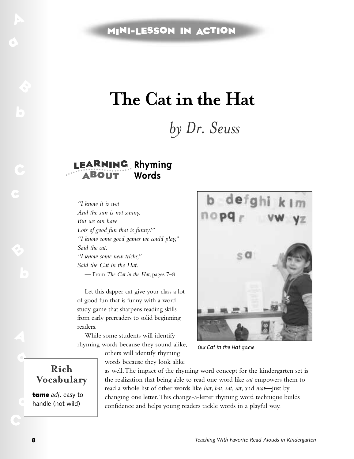# **The Cat in the Hat**

## *by Dr. Seuss*

#### LEARNING Rhyming **Words ABOUT**

*"I know it is wet And the sun is not sunny. But we can have Lots of good fun that is funny!" "I know some good games we could play," Said the cat. "I know some new tricks," Said the Cat in the Hat.* — From *The Cat in the Hat*, pages 7–8

Let this dapper cat give your class a lot of good fun that is funny with a word study game that sharpens reading skills from early prereaders to solid beginning readers.

While some students will identify rhyming words because they sound alike,

others will identify rhyming words because they look alike



Our Cat in the Hat game

**Rich Vocabulary**

**tame** *adj*. easy to handle (not wild)

as well.The impact of the rhyming word concept for the kindergarten set is the realization that being able to read one word like *cat* empowers them to read a whole list of other words like *hat, bat, sat, rat*, and *mat*—just by changing one letter.This change-a-letter rhyming word technique builds confidence and helps young readers tackle words in a playful way.

 $\ddot{\bullet}$ 

a

c

a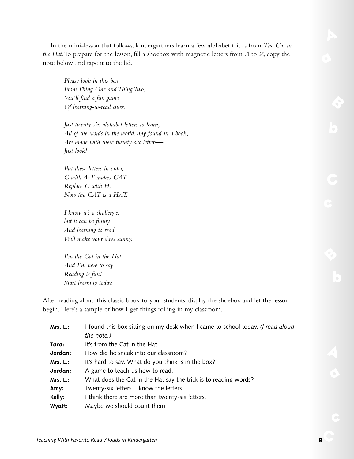In the mini-lesson that follows, kindergartners learn a few alphabet tricks from *The Cat in the Hat*.To prepare for the lesson, fill a shoebox with magnetic letters from *A* to *Z*, copy the note below, and tape it to the lid.

*Please look in this box From Thing One and Thing Two, You'll find a fun game Of learning-to-read clues.*

*Just twenty-six alphabet letters to learn, All of the words in the world, any found in a book, Are made with these twenty-six letters— Just look!*

*Put these letters in order, C with A-T makes CAT. Replace C with H, Now the CAT is a HAT.*

*I know it's a challenge, but it can be funny, And learning to read Will make your days sunny.*

*I'm the Cat in the Hat, And I'm here to say Reading is fun! Start learning today.*

After reading aloud this classic book to your students, display the shoebox and let the lesson begin. Here's a sample of how I get things rolling in my classroom.

| Mrs. L.: | I found this box sitting on my desk when I came to school today. (I read aloud |  |  |  |
|----------|--------------------------------------------------------------------------------|--|--|--|
|          | the note.)                                                                     |  |  |  |
| Tara:    | It's from the Cat in the Hat.                                                  |  |  |  |
| Jordan:  | How did he sneak into our classroom?                                           |  |  |  |
| Mrs. L.: | It's hard to say. What do you think is in the box?                             |  |  |  |
| Jordan:  | A game to teach us how to read.                                                |  |  |  |
| Mrs. L.: | What does the Cat in the Hat say the trick is to reading words?                |  |  |  |
| Amy:     | Twenty-six letters. I know the letters.                                        |  |  |  |
| Kelly:   | I think there are more than twenty-six letters.                                |  |  |  |
| Wyatt:   | Maybe we should count them.                                                    |  |  |  |

 $\bullet$ 

b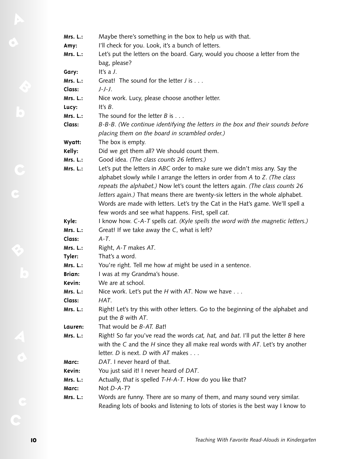| Mrs. L.: | Maybe there's something in the box to help us with that.                              |  |  |  |  |
|----------|---------------------------------------------------------------------------------------|--|--|--|--|
| Amy:     | I'll check for you. Look, it's a bunch of letters.                                    |  |  |  |  |
| Mrs. L.: | Let's put the letters on the board. Gary, would you choose a letter from the          |  |  |  |  |
|          | bag, please?                                                                          |  |  |  |  |
| Gary:    | It's $a J$ .                                                                          |  |  |  |  |
| Mrs. L.: | Great! The sound for the letter J is                                                  |  |  |  |  |
| Class:   | $J-J-J$ .                                                                             |  |  |  |  |
| Mrs. L.: | Nice work. Lucy, please choose another letter.                                        |  |  |  |  |
| Lucy:    | It's $B$ .                                                                            |  |  |  |  |
| Mrs. L.: | The sound for the letter $B$ is                                                       |  |  |  |  |
| Class:   | B-B-B. (We continue identifying the letters in the box and their sounds before        |  |  |  |  |
|          | placing them on the board in scrambled order.)                                        |  |  |  |  |
| Wyatt:   | The box is empty.                                                                     |  |  |  |  |
| Kelly:   | Did we get them all? We should count them.                                            |  |  |  |  |
| Mrs. L.: | Good idea. (The class counts 26 letters.)                                             |  |  |  |  |
| Mrs. L.: | Let's put the letters in ABC order to make sure we didn't miss any. Say the           |  |  |  |  |
|          | alphabet slowly while I arrange the letters in order from A to Z. (The class          |  |  |  |  |
|          | repeats the alphabet.) Now let's count the letters again. (The class counts 26        |  |  |  |  |
|          | letters again.) That means there are twenty-six letters in the whole alphabet.        |  |  |  |  |
|          | Words are made with letters. Let's try the Cat in the Hat's game. We'll spell a       |  |  |  |  |
|          | few words and see what happens. First, spell cat.                                     |  |  |  |  |
| Kyle:    | I know how. C-A-T spells cat. (Kyle spells the word with the magnetic letters.)       |  |  |  |  |
| Mrs. L.: | Great! If we take away the C, what is left?                                           |  |  |  |  |
| Class:   | $A - T$ .                                                                             |  |  |  |  |
| Mrs. L.: | Right, A-T makes AT.                                                                  |  |  |  |  |
| Tyler:   | That's a word.                                                                        |  |  |  |  |
| Mrs. L.: | You're right. Tell me how at might be used in a sentence.                             |  |  |  |  |
| Brian:   | I was at my Grandma's house.                                                          |  |  |  |  |
| Kevin:   | We are at school.                                                                     |  |  |  |  |
| Mrs. L.: | Nice work. Let's put the H with AT. Now we have                                       |  |  |  |  |
| Class:   | HAT.                                                                                  |  |  |  |  |
| Mrs. L.: | Right! Let's try this with other letters. Go to the beginning of the alphabet and     |  |  |  |  |
|          | put the B with AT.                                                                    |  |  |  |  |
| Lauren:  | That would be B-AT. Bat!                                                              |  |  |  |  |
| Mrs. L.: | Right! So far you've read the words cat, hat, and bat. I'll put the letter B here     |  |  |  |  |
|          | with the $C$ and the $H$ since they all make real words with $AT$ . Let's try another |  |  |  |  |
|          | letter. D is next. D with $AT$ makes                                                  |  |  |  |  |
| Marc:    | DAT. I never heard of that.                                                           |  |  |  |  |
| Kevin:   | You just said it! I never heard of DAT.                                               |  |  |  |  |
| Mrs. L.: | Actually, that is spelled T-H-A-T. How do you like that?                              |  |  |  |  |
| Marc:    | Not D-A-T?                                                                            |  |  |  |  |
| Mrs. L.: | Words are funny. There are so many of them, and many sound very similar.              |  |  |  |  |
|          | Reading lots of books and listening to lots of stories is the best way I know to      |  |  |  |  |

**a**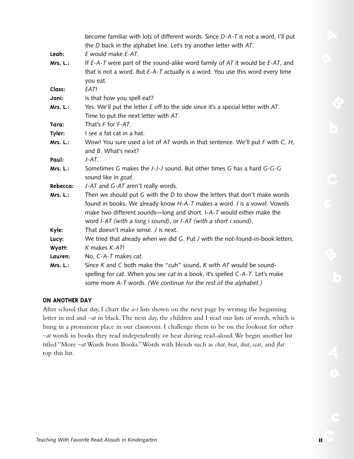|          | become familiar with lots of different words. Since D-A-T is not a word, I'll put                                        |  |  |  |  |
|----------|--------------------------------------------------------------------------------------------------------------------------|--|--|--|--|
|          | the D back in the alphabet line. Let's try another letter with AT.                                                       |  |  |  |  |
| Leah:    | E would make E-AT.                                                                                                       |  |  |  |  |
| Mrs. L.: | If $E$ -A-T were part of the sound-alike word family of AT it would be $E$ -AT, and                                      |  |  |  |  |
|          | that is not a word. But $E-A-T$ actually is a word. You use this word every time                                         |  |  |  |  |
|          | you eat.                                                                                                                 |  |  |  |  |
| Class:   | EAT!                                                                                                                     |  |  |  |  |
| Joni:    | Is that how you spell eat?                                                                                               |  |  |  |  |
| Mrs. L.: | Yes. We'll put the letter E off to the side since it's a special letter with AT.<br>Time to put the next letter with AT. |  |  |  |  |
| Tara:    | That's F for F-AT.                                                                                                       |  |  |  |  |
| Tyler:   | I see a fat cat in a hat.                                                                                                |  |  |  |  |
| Mrs. L.: | Wow! You sure used a lot of AT words in that sentence. We'll put F with C, H,                                            |  |  |  |  |
|          | and B. What's next?                                                                                                      |  |  |  |  |
| Paul:    | $J - AT$ .                                                                                                               |  |  |  |  |
| Mrs. L.: | Sometimes G makes the J-J-J sound. But other times G has a hard G-G-G                                                    |  |  |  |  |
|          | sound like in goat.                                                                                                      |  |  |  |  |
| Rebecca: | J-AT and G-AT aren't really words.                                                                                       |  |  |  |  |
| Mrs. L.: | Then we should put $G$ with the $D$ to show the letters that don't make words                                            |  |  |  |  |
|          | found in books. We already know H-A-T makes a word. I is a vowel. Vowels                                                 |  |  |  |  |
|          | make two different sounds—long and short. I-A-T would either make the                                                    |  |  |  |  |
|          | word I-AT (with a long i sound), or I-AT (with a short i sound).                                                         |  |  |  |  |
| Kyle:    | That doesn't make sense. <i>J</i> is next.                                                                               |  |  |  |  |
| Lucy:    | We tried that already when we did G. Put J with the not-found-in-book letters.                                           |  |  |  |  |
| Wyatt:   | K makes K-AT!                                                                                                            |  |  |  |  |
| Lauren:  | No, C-A-T makes cat.                                                                                                     |  |  |  |  |
| Mrs. L.: | Since $K$ and $C$ both make the "cuh" sound, $K$ with AT would be sound-                                                 |  |  |  |  |
|          | spelling for cat. When you see cat in a book, it's spelled C-A-T. Let's make                                             |  |  |  |  |
|          | some more A-T words. (We continue for the rest of the alphabet.)                                                         |  |  |  |  |

### **ON ANOTHER DAY**

After school that day, I chart the *a-t* lists shown on the next page by writing the beginning letter in red and *–at* in black.The next day, the children and I read our lists of words, which is hung in a prominent place in our classroom. I challenge them to be on the lookout for other *–at* words in books they read independently or hear during read-aloud.We begin another list titled "More *–at* Words from Books."Words with blends such as *chat, brat, drat, scat,* and *flat* top this list.

 $\bullet$